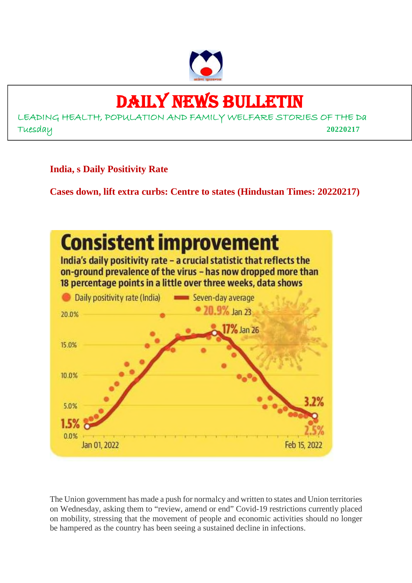

# DAILY NEWS BULLETIN

LEADING HEALTH, POPULATION AND FAMILY WELFARE STORIES OF THE Da Tuesday **20220217**

**India, s Daily Positivity Rate**

**Cases down, lift extra curbs: Centre to states (Hindustan Times: 20220217)**



The Union government has made a push for normalcy and written to states and Union territories on Wednesday, asking them to "review, amend or end" Covid-19 restrictions currently placed on mobility, stressing that the movement of people and economic activities should no longer be hampered as the country has been seeing a sustained decline in infections.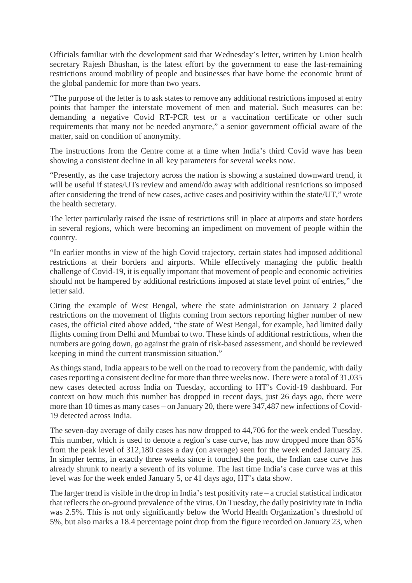Officials familiar with the development said that Wednesday's letter, written by Union health secretary Rajesh Bhushan, is the latest effort by the government to ease the last-remaining restrictions around mobility of people and businesses that have borne the economic brunt of the global pandemic for more than two years.

"The purpose of the letter is to ask states to remove any additional restrictions imposed at entry points that hamper the interstate movement of men and material. Such measures can be: demanding a negative Covid RT-PCR test or a vaccination certificate or other such requirements that many not be needed anymore," a senior government official aware of the matter, said on condition of anonymity.

The instructions from the Centre come at a time when India's third Covid wave has been showing a consistent decline in all key parameters for several weeks now.

"Presently, as the case trajectory across the nation is showing a sustained downward trend, it will be useful if states/UTs review and amend/do away with additional restrictions so imposed after considering the trend of new cases, active cases and positivity within the state/UT," wrote the health secretary.

The letter particularly raised the issue of restrictions still in place at airports and state borders in several regions, which were becoming an impediment on movement of people within the country.

"In earlier months in view of the high Covid trajectory, certain states had imposed additional restrictions at their borders and airports. While effectively managing the public health challenge of Covid-19, it is equally important that movement of people and economic activities should not be hampered by additional restrictions imposed at state level point of entries," the letter said.

Citing the example of West Bengal, where the state administration on January 2 placed restrictions on the movement of flights coming from sectors reporting higher number of new cases, the official cited above added, "the state of West Bengal, for example, had limited daily flights coming from Delhi and Mumbai to two. These kinds of additional restrictions, when the numbers are going down, go against the grain of risk-based assessment, and should be reviewed keeping in mind the current transmission situation."

As things stand, India appears to be well on the road to recovery from the pandemic, with daily cases reporting a consistent decline for more than three weeks now. There were a total of 31,035 new cases detected across India on Tuesday, according to HT's Covid-19 dashboard. For context on how much this number has dropped in recent days, just 26 days ago, there were more than 10 times as many cases – on January 20, there were 347,487 new infections of Covid-19 detected across India.

The seven-day average of daily cases has now dropped to 44,706 for the week ended Tuesday. This number, which is used to denote a region's case curve, has now dropped more than 85% from the peak level of 312,180 cases a day (on average) seen for the week ended January 25. In simpler terms, in exactly three weeks since it touched the peak, the Indian case curve has already shrunk to nearly a seventh of its volume. The last time India's case curve was at this level was for the week ended January 5, or 41 days ago, HT's data show.

The larger trend is visible in the drop in India's test positivity rate – a crucial statistical indicator that reflects the on-ground prevalence of the virus. On Tuesday, the daily positivity rate in India was 2.5%. This is not only significantly below the World Health Organization's threshold of 5%, but also marks a 18.4 percentage point drop from the figure recorded on January 23, when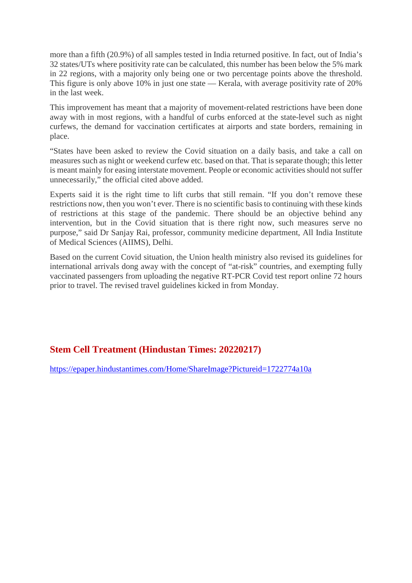more than a fifth (20.9%) of all samples tested in India returned positive. In fact, out of India's 32 states/UTs where positivity rate can be calculated, this number has been below the 5% mark in 22 regions, with a majority only being one or two percentage points above the threshold. This figure is only above 10% in just one state — Kerala, with average positivity rate of 20% in the last week.

This improvement has meant that a majority of movement-related restrictions have been done away with in most regions, with a handful of curbs enforced at the state-level such as night curfews, the demand for vaccination certificates at airports and state borders, remaining in place.

"States have been asked to review the Covid situation on a daily basis, and take a call on measures such as night or weekend curfew etc. based on that. That is separate though; this letter is meant mainly for easing interstate movement. People or economic activities should not suffer unnecessarily," the official cited above added.

Experts said it is the right time to lift curbs that still remain. "If you don't remove these restrictions now, then you won't ever. There is no scientific basis to continuing with these kinds of restrictions at this stage of the pandemic. There should be an objective behind any intervention, but in the Covid situation that is there right now, such measures serve no purpose," said Dr Sanjay Rai, professor, community medicine department, All India Institute of Medical Sciences (AIIMS), Delhi.

Based on the current Covid situation, the Union health ministry also revised its guidelines for international arrivals dong away with the concept of "at-risk" countries, and exempting fully vaccinated passengers from uploading the negative RT-PCR Covid test report online 72 hours prior to travel. The revised travel guidelines kicked in from Monday.

# **Stem Cell Treatment (Hindustan Times: 20220217)**

https://epaper.hindustantimes.com/Home/ShareImage?Pictureid=1722774a10a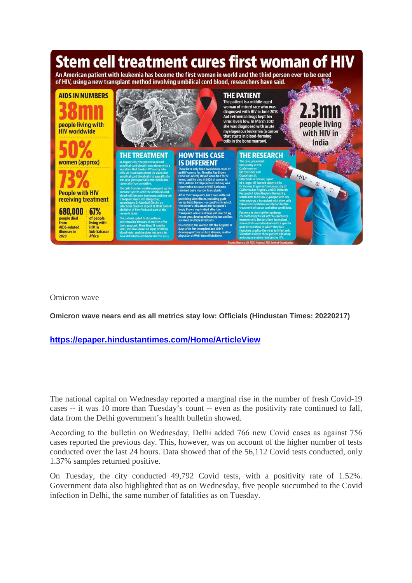

Omicron wave

**Omicron wave nears end as all metrics stay low: Officials (Hindustan Times: 20220217)**

#### **https://epaper.hindustantimes.com/Home/ArticleView**

The national capital on Wednesday reported a marginal rise in the number of fresh Covid-19 cases -- it was 10 more than Tuesday's count -- even as the positivity rate continued to fall, data from the Delhi government's health bulletin showed.

According to the bulletin on Wednesday, Delhi added 766 new Covid cases as against 756 cases reported the previous day. This, however, was on account of the higher number of tests conducted over the last 24 hours. Data showed that of the 56,112 Covid tests conducted, only 1.37% samples returned positive.

On Tuesday, the city conducted 49,792 Covid tests, with a positivity rate of 1.52%. Government data also highlighted that as on Wednesday, five people succumbed to the Covid infection in Delhi, the same number of fatalities as on Tuesday.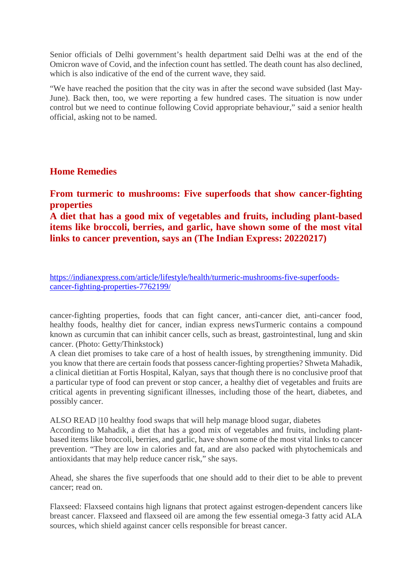Senior officials of Delhi government's health department said Delhi was at the end of the Omicron wave of Covid, and the infection count has settled. The death count has also declined, which is also indicative of the end of the current wave, they said.

"We have reached the position that the city was in after the second wave subsided (last May-June). Back then, too, we were reporting a few hundred cases. The situation is now under control but we need to continue following Covid appropriate behaviour," said a senior health official, asking not to be named.

#### **Home Remedies**

**From turmeric to mushrooms: Five superfoods that show cancer-fighting properties**

**A diet that has a good mix of vegetables and fruits, including plant-based items like broccoli, berries, and garlic, have shown some of the most vital links to cancer prevention, says an (The Indian Express: 20220217)**

https://indianexpress.com/article/lifestyle/health/turmeric-mushrooms-five-superfoodscancer-fighting-properties-7762199/

cancer-fighting properties, foods that can fight cancer, anti-cancer diet, anti-cancer food, healthy foods, healthy diet for cancer, indian express newsTurmeric contains a compound known as curcumin that can inhibit cancer cells, such as breast, gastrointestinal, lung and skin cancer. (Photo: Getty/Thinkstock)

A clean diet promises to take care of a host of health issues, by strengthening immunity. Did you know that there are certain foods that possess cancer-fighting properties? Shweta Mahadik, a clinical dietitian at Fortis Hospital, Kalyan, says that though there is no conclusive proof that a particular type of food can prevent or stop cancer, a healthy diet of vegetables and fruits are critical agents in preventing significant illnesses, including those of the heart, diabetes, and possibly cancer.

ALSO READ |10 healthy food swaps that will help manage blood sugar, diabetes

According to Mahadik, a diet that has a good mix of vegetables and fruits, including plantbased items like broccoli, berries, and garlic, have shown some of the most vital links to cancer prevention. "They are low in calories and fat, and are also packed with phytochemicals and antioxidants that may help reduce cancer risk," she says.

Ahead, she shares the five superfoods that one should add to their diet to be able to prevent cancer; read on.

Flaxseed: Flaxseed contains high lignans that protect against estrogen-dependent cancers like breast cancer. Flaxseed and flaxseed oil are among the few essential omega-3 fatty acid ALA sources, which shield against cancer cells responsible for breast cancer.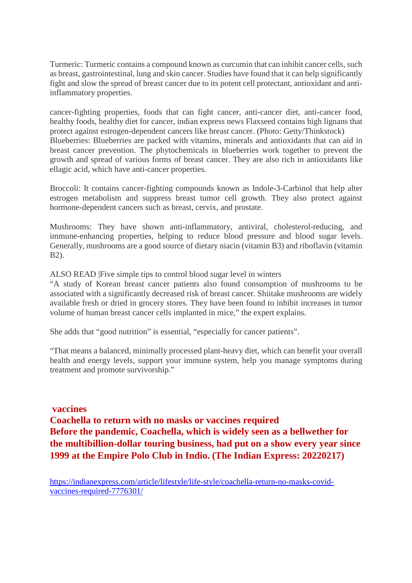Turmeric: Turmeric contains a compound known as curcumin that can inhibit cancer cells, such as breast, gastrointestinal, lung and skin cancer. Studies have found that it can help significantly fight and slow the spread of breast cancer due to its potent cell protectant, antioxidant and antiinflammatory properties.

cancer-fighting properties, foods that can fight cancer, anti-cancer diet, anti-cancer food, healthy foods, healthy diet for cancer, indian express news Flaxseed contains high lignans that protect against estrogen-dependent cancers like breast cancer. (Photo: Getty/Thinkstock) Blueberries: Blueberries are packed with vitamins, minerals and antioxidants that can aid in breast cancer prevention. The phytochemicals in blueberries work together to prevent the growth and spread of various forms of breast cancer. They are also rich in antioxidants like ellagic acid, which have anti-cancer properties.

Broccoli: It contains cancer-fighting compounds known as Indole-3-Carbinol that help alter estrogen metabolism and suppress breast tumor cell growth. They also protect against hormone-dependent cancers such as breast, cervix, and prostate.

Mushrooms: They have shown anti-inflammatory, antiviral, cholesterol-reducing, and immune-enhancing properties, helping to reduce blood pressure and blood sugar levels. Generally, mushrooms are a good source of dietary niacin (vitamin B3) and riboflavin (vitamin B2).

ALSO READ |Five simple tips to control blood sugar level in winters

"A study of Korean breast cancer patients also found consumption of mushrooms to be associated with a significantly decreased risk of breast cancer. Shiitake mushrooms are widely available fresh or dried in grocery stores. They have been found to inhibit increases in tumor volume of human breast cancer cells implanted in mice," the expert explains.

She adds that "good nutrition" is essential, "especially for cancer patients".

"That means a balanced, minimally processed plant-heavy diet, which can benefit your overall health and energy levels, support your immune system, help you manage symptoms during treatment and promote survivorship."

#### **vaccines**

**Coachella to return with no masks or vaccines required Before the pandemic, Coachella, which is widely seen as a bellwether for the multibillion-dollar touring business, had put on a show every year since 1999 at the Empire Polo Club in Indio. (The Indian Express: 20220217)**

https://indianexpress.com/article/lifestyle/life-style/coachella-return-no-masks-covidvaccines-required-7776301/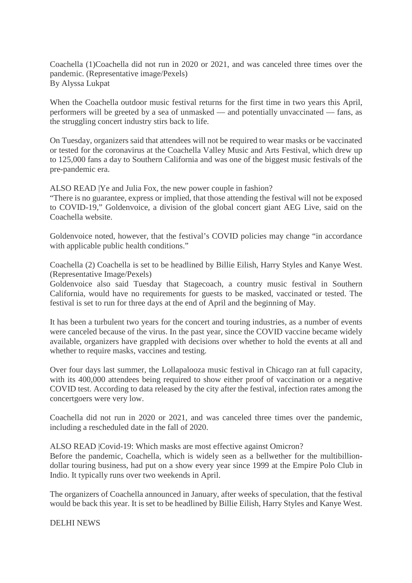Coachella (1)Coachella did not run in 2020 or 2021, and was canceled three times over the pandemic. (Representative image/Pexels) By Alyssa Lukpat

When the Coachella outdoor music festival returns for the first time in two years this April, performers will be greeted by a sea of unmasked — and potentially unvaccinated — fans, as the struggling concert industry stirs back to life.

On Tuesday, organizers said that attendees will not be required to wear masks or be vaccinated or tested for the coronavirus at the Coachella Valley Music and Arts Festival, which drew up to 125,000 fans a day to Southern California and was one of the biggest music festivals of the pre-pandemic era.

ALSO READ |Ye and Julia Fox, the new power couple in fashion?

"There is no guarantee, express or implied, that those attending the festival will not be exposed to COVID-19," Goldenvoice, a division of the global concert giant AEG Live, said on the Coachella website.

Goldenvoice noted, however, that the festival's COVID policies may change "in accordance with applicable public health conditions."

Coachella (2) Coachella is set to be headlined by Billie Eilish, Harry Styles and Kanye West. (Representative Image/Pexels)

Goldenvoice also said Tuesday that Stagecoach, a country music festival in Southern California, would have no requirements for guests to be masked, vaccinated or tested. The festival is set to run for three days at the end of April and the beginning of May.

It has been a turbulent two years for the concert and touring industries, as a number of events were canceled because of the virus. In the past year, since the COVID vaccine became widely available, organizers have grappled with decisions over whether to hold the events at all and whether to require masks, vaccines and testing.

Over four days last summer, the Lollapalooza music festival in Chicago ran at full capacity, with its 400,000 attendees being required to show either proof of vaccination or a negative COVID test. According to data released by the city after the festival, infection rates among the concertgoers were very low.

Coachella did not run in 2020 or 2021, and was canceled three times over the pandemic, including a rescheduled date in the fall of 2020.

ALSO READ |Covid-19: Which masks are most effective against Omicron?

Before the pandemic, Coachella, which is widely seen as a bellwether for the multibilliondollar touring business, had put on a show every year since 1999 at the Empire Polo Club in Indio. It typically runs over two weekends in April.

The organizers of Coachella announced in January, after weeks of speculation, that the festival would be back this year. It is set to be headlined by Billie Eilish, Harry Styles and Kanye West.

DELHI NEWS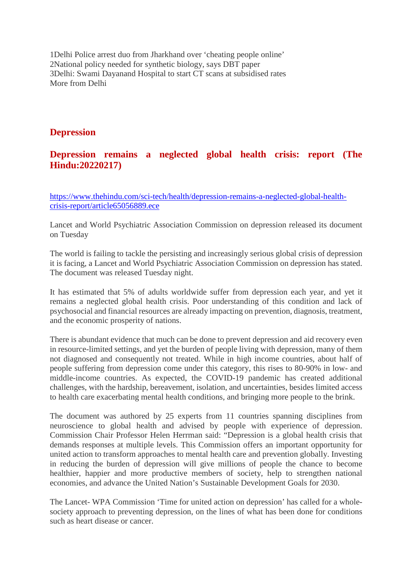1Delhi Police arrest duo from Jharkhand over 'cheating people online' 2National policy needed for synthetic biology, says DBT paper 3Delhi: Swami Dayanand Hospital to start CT scans at subsidised rates More from Delhi

#### **Depression**

# **Depression remains a neglected global health crisis: report (The Hindu:20220217)**

https://www.thehindu.com/sci-tech/health/depression-remains-a-neglected-global-healthcrisis-report/article65056889.ece

Lancet and World Psychiatric Association Commission on depression released its document on Tuesday

The world is failing to tackle the persisting and increasingly serious global crisis of depression it is facing, a Lancet and World Psychiatric Association Commission on depression has stated. The document was released Tuesday night.

It has estimated that 5% of adults worldwide suffer from depression each year, and yet it remains a neglected global health crisis. Poor understanding of this condition and lack of psychosocial and financial resources are already impacting on prevention, diagnosis, treatment, and the economic prosperity of nations.

There is abundant evidence that much can be done to prevent depression and aid recovery even in resource-limited settings, and yet the burden of people living with depression, many of them not diagnosed and consequently not treated. While in high income countries, about half of people suffering from depression come under this category, this rises to 80-90% in low- and middle-income countries. As expected, the COVID-19 pandemic has created additional challenges, with the hardship, bereavement, isolation, and uncertainties, besides limited access to health care exacerbating mental health conditions, and bringing more people to the brink.

The document was authored by 25 experts from 11 countries spanning disciplines from neuroscience to global health and advised by people with experience of depression. Commission Chair Professor Helen Herrman said: "Depression is a global health crisis that demands responses at multiple levels. This Commission offers an important opportunity for united action to transform approaches to mental health care and prevention globally. Investing in reducing the burden of depression will give millions of people the chance to become healthier, happier and more productive members of society, help to strengthen national economies, and advance the United Nation's Sustainable Development Goals for 2030.

The Lancet- WPA Commission 'Time for united action on depression' has called for a wholesociety approach to preventing depression, on the lines of what has been done for conditions such as heart disease or cancer.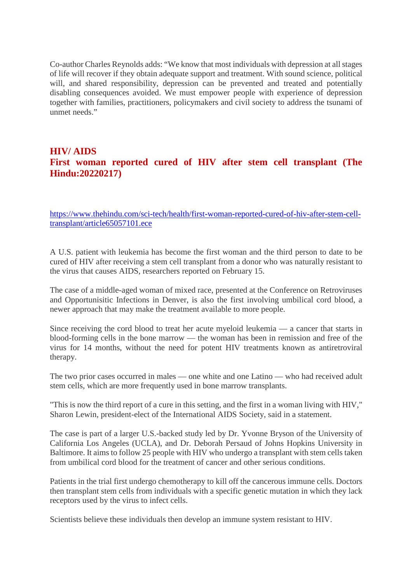Co-author Charles Reynolds adds: "We know that most individuals with depression at all stages of life will recover if they obtain adequate support and treatment. With sound science, political will, and shared responsibility, depression can be prevented and treated and potentially disabling consequences avoided. We must empower people with experience of depression together with families, practitioners, policymakers and civil society to address the tsunami of unmet needs."

# **HIV/ AIDS First woman reported cured of HIV after stem cell transplant (The Hindu:20220217)**

https://www.thehindu.com/sci-tech/health/first-woman-reported-cured-of-hiv-after-stem-celltransplant/article65057101.ece

A U.S. patient with leukemia has become the first woman and the third person to date to be cured of HIV after receiving a stem cell transplant from a donor who was naturally resistant to the virus that causes AIDS, researchers reported on February 15.

The case of a middle-aged woman of mixed race, presented at the Conference on Retroviruses and Opportunisitic Infections in Denver, is also the first involving umbilical cord blood, a newer approach that may make the treatment available to more people.

Since receiving the cord blood to treat her acute myeloid leukemia — a cancer that starts in blood-forming cells in the bone marrow — the woman has been in remission and free of the virus for 14 months, without the need for potent HIV treatments known as antiretroviral therapy.

The two prior cases occurred in males — one white and one Latino — who had received adult stem cells, which are more frequently used in bone marrow transplants.

"This is now the third report of a cure in this setting, and the first in a woman living with HIV," Sharon Lewin, president-elect of the International AIDS Society, said in a statement.

The case is part of a larger U.S.-backed study led by Dr. Yvonne Bryson of the University of California Los Angeles (UCLA), and Dr. Deborah Persaud of Johns Hopkins University in Baltimore. It aims to follow 25 people with HIV who undergo a transplant with stem cells taken from umbilical cord blood for the treatment of cancer and other serious conditions.

Patients in the trial first undergo chemotherapy to kill off the cancerous immune cells. Doctors then transplant stem cells from individuals with a specific genetic mutation in which they lack receptors used by the virus to infect cells.

Scientists believe these individuals then develop an immune system resistant to HIV.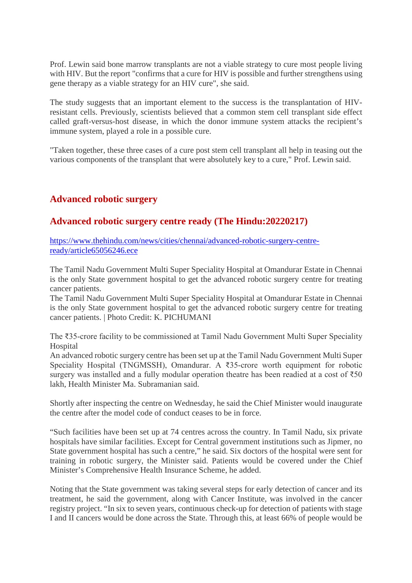Prof. Lewin said bone marrow transplants are not a viable strategy to cure most people living with HIV. But the report "confirms that a cure for HIV is possible and further strengthens using gene therapy as a viable strategy for an HIV cure", she said.

The study suggests that an important element to the success is the transplantation of HIVresistant cells. Previously, scientists believed that a common stem cell transplant side effect called graft-versus-host disease, in which the donor immune system attacks the recipient's immune system, played a role in a possible cure.

"Taken together, these three cases of a cure post stem cell transplant all help in teasing out the various components of the transplant that were absolutely key to a cure," Prof. Lewin said.

## **Advanced robotic surgery**

## **Advanced robotic surgery centre ready (The Hindu:20220217)**

https://www.thehindu.com/news/cities/chennai/advanced-robotic-surgery-centreready/article65056246.ece

The Tamil Nadu Government Multi Super Speciality Hospital at Omandurar Estate in Chennai is the only State government hospital to get the advanced robotic surgery centre for treating cancer patients.

The Tamil Nadu Government Multi Super Speciality Hospital at Omandurar Estate in Chennai is the only State government hospital to get the advanced robotic surgery centre for treating cancer patients. | Photo Credit: K. PICHUMANI

The ₹35-crore facility to be commissioned at Tamil Nadu Government Multi Super Speciality Hospital

An advanced robotic surgery centre has been set up at the Tamil Nadu Government Multi Super Speciality Hospital (TNGMSSH), Omandurar. A ₹35-crore worth equipment for robotic surgery was installed and a fully modular operation theatre has been readied at a cost of ₹50 lakh, Health Minister Ma. Subramanian said.

Shortly after inspecting the centre on Wednesday, he said the Chief Minister would inaugurate the centre after the model code of conduct ceases to be in force.

"Such facilities have been set up at 74 centres across the country. In Tamil Nadu, six private hospitals have similar facilities. Except for Central government institutions such as Jipmer, no State government hospital has such a centre," he said. Six doctors of the hospital were sent for training in robotic surgery, the Minister said. Patients would be covered under the Chief Minister's Comprehensive Health Insurance Scheme, he added.

Noting that the State government was taking several steps for early detection of cancer and its treatment, he said the government, along with Cancer Institute, was involved in the cancer registry project. "In six to seven years, continuous check-up for detection of patients with stage I and II cancers would be done across the State. Through this, at least 66% of people would be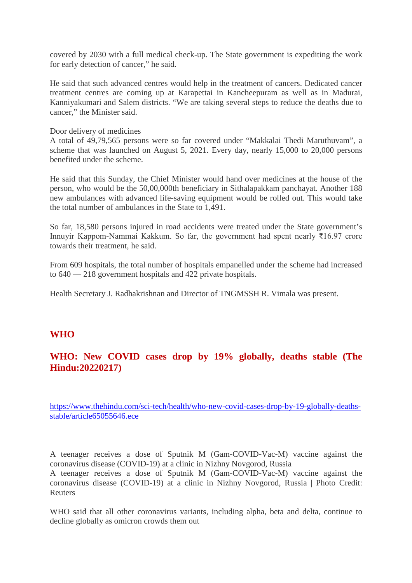covered by 2030 with a full medical check-up. The State government is expediting the work for early detection of cancer," he said.

He said that such advanced centres would help in the treatment of cancers. Dedicated cancer treatment centres are coming up at Karapettai in Kancheepuram as well as in Madurai, Kanniyakumari and Salem districts. "We are taking several steps to reduce the deaths due to cancer," the Minister said.

#### Door delivery of medicines

A total of 49,79,565 persons were so far covered under "Makkalai Thedi Maruthuvam", a scheme that was launched on August 5, 2021. Every day, nearly 15,000 to 20,000 persons benefited under the scheme.

He said that this Sunday, the Chief Minister would hand over medicines at the house of the person, who would be the 50,00,000th beneficiary in Sithalapakkam panchayat. Another 188 new ambulances with advanced life-saving equipment would be rolled out. This would take the total number of ambulances in the State to 1,491.

So far, 18,580 persons injured in road accidents were treated under the State government's Innuyir Kappom-Nammai Kakkum. So far, the government had spent nearly ₹16.97 crore towards their treatment, he said.

From 609 hospitals, the total number of hospitals empanelled under the scheme had increased to 640 — 218 government hospitals and 422 private hospitals.

Health Secretary J. Radhakrishnan and Director of TNGMSSH R. Vimala was present.

#### **WHO**

## **WHO: New COVID cases drop by 19% globally, deaths stable (The Hindu:20220217)**

https://www.thehindu.com/sci-tech/health/who-new-covid-cases-drop-by-19-globally-deathsstable/article65055646.ece

A teenager receives a dose of Sputnik M (Gam-COVID-Vac-M) vaccine against the coronavirus disease (COVID-19) at a clinic in Nizhny Novgorod, Russia

A teenager receives a dose of Sputnik M (Gam-COVID-Vac-M) vaccine against the coronavirus disease (COVID-19) at a clinic in Nizhny Novgorod, Russia | Photo Credit: Reuters

WHO said that all other coronavirus variants, including alpha, beta and delta, continue to decline globally as omicron crowds them out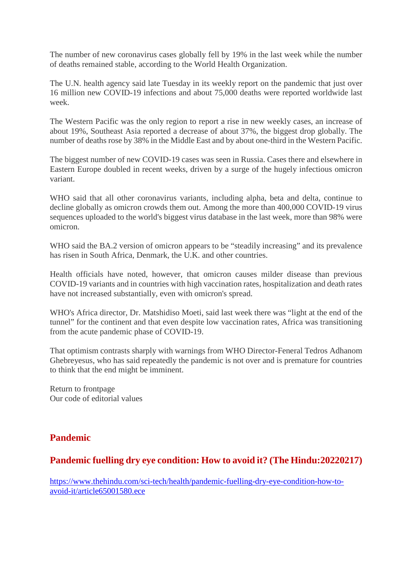The number of new coronavirus cases globally fell by 19% in the last week while the number of deaths remained stable, according to the World Health Organization.

The U.N. health agency said late Tuesday in its weekly report on the pandemic that just over 16 million new COVID-19 infections and about 75,000 deaths were reported worldwide last week.

The Western Pacific was the only region to report a rise in new weekly cases, an increase of about 19%, Southeast Asia reported a decrease of about 37%, the biggest drop globally. The number of deaths rose by 38% in the Middle East and by about one-third in the Western Pacific.

The biggest number of new COVID-19 cases was seen in Russia. Cases there and elsewhere in Eastern Europe doubled in recent weeks, driven by a surge of the hugely infectious omicron variant.

WHO said that all other coronavirus variants, including alpha, beta and delta, continue to decline globally as omicron crowds them out. Among the more than 400,000 COVID-19 virus sequences uploaded to the world's biggest virus database in the last week, more than 98% were omicron.

WHO said the BA.2 version of omicron appears to be "steadily increasing" and its prevalence has risen in South Africa, Denmark, the U.K. and other countries.

Health officials have noted, however, that omicron causes milder disease than previous COVID-19 variants and in countries with high vaccination rates, hospitalization and death rates have not increased substantially, even with omicron's spread.

WHO's Africa director, Dr. Matshidiso Moeti, said last week there was "light at the end of the tunnel" for the continent and that even despite low vaccination rates, Africa was transitioning from the acute pandemic phase of COVID-19.

That optimism contrasts sharply with warnings from WHO Director-Feneral Tedros Adhanom Ghebreyesus, who has said repeatedly the pandemic is not over and is premature for countries to think that the end might be imminent.

Return to frontpage Our code of editorial values

## **Pandemic**

## **Pandemic fuelling dry eye condition: How to avoid it? (The Hindu:20220217)**

https://www.thehindu.com/sci-tech/health/pandemic-fuelling-dry-eye-condition-how-toavoid-it/article65001580.ece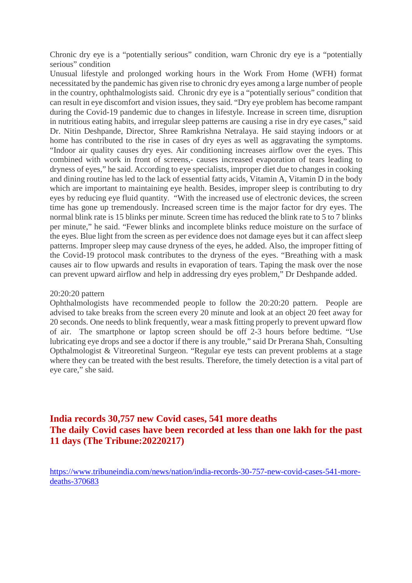Chronic dry eye is a "potentially serious" condition, warn Chronic dry eye is a "potentially serious" condition

Unusual lifestyle and prolonged working hours in the Work From Home (WFH) format necessitated by the pandemic has given rise to chronic dry eyes among a large number of people in the country, ophthalmologists said. Chronic dry eye is a "potentially serious" condition that can result in eye discomfort and vision issues, they said. "Dry eye problem has become rampant during the Covid-19 pandemic due to changes in lifestyle. Increase in screen time, disruption in nutritious eating habits, and irregular sleep patterns are causing a rise in dry eye cases," said Dr. Nitin Deshpande, Director, Shree Ramkrishna Netralaya. He said staying indoors or at home has contributed to the rise in cases of dry eyes as well as aggravating the symptoms. "Indoor air quality causes dry eyes. Air conditioning increases airflow over the eyes. This combined with work in front of screens,- causes increased evaporation of tears leading to dryness of eyes," he said. According to eye specialists, improper diet due to changes in cooking and dining routine has led to the lack of essential fatty acids, Vitamin A, Vitamin D in the body which are important to maintaining eye health. Besides, improper sleep is contributing to dry eyes by reducing eye fluid quantity. "With the increased use of electronic devices, the screen time has gone up tremendously. Increased screen time is the major factor for dry eyes. The normal blink rate is 15 blinks per minute. Screen time has reduced the blink rate to 5 to 7 blinks per minute," he said. "Fewer blinks and incomplete blinks reduce moisture on the surface of the eyes. Blue light from the screen as per evidence does not damage eyes but it can affect sleep patterns. Improper sleep may cause dryness of the eyes, he added. Also, the improper fitting of the Covid-19 protocol mask contributes to the dryness of the eyes. "Breathing with a mask causes air to flow upwards and results in evaporation of tears. Taping the mask over the nose can prevent upward airflow and help in addressing dry eyes problem," Dr Deshpande added.

#### 20:20:20 pattern

Ophthalmologists have recommended people to follow the 20:20:20 pattern. People are advised to take breaks from the screen every 20 minute and look at an object 20 feet away for 20 seconds. One needs to blink frequently, wear a mask fitting properly to prevent upward flow of air. The smartphone or laptop screen should be off 2-3 hours before bedtime. "Use lubricating eye drops and see a doctor if there is any trouble," said Dr Prerana Shah, Consulting Opthalmologist & Vitreoretinal Surgeon. "Regular eye tests can prevent problems at a stage where they can be treated with the best results. Therefore, the timely detection is a vital part of eye care," she said.

## **India records 30,757 new Covid cases, 541 more deaths The daily Covid cases have been recorded at less than one lakh for the past 11 days (The Tribune:20220217)**

https://www.tribuneindia.com/news/nation/india-records-30-757-new-covid-cases-541-moredeaths-370683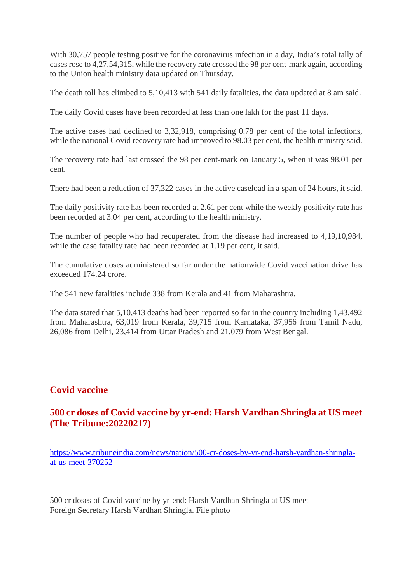With 30,757 people testing positive for the coronavirus infection in a day, India's total tally of cases rose to 4,27,54,315, while the recovery rate crossed the 98 per cent-mark again, according to the Union health ministry data updated on Thursday.

The death toll has climbed to 5,10,413 with 541 daily fatalities, the data updated at 8 am said.

The daily Covid cases have been recorded at less than one lakh for the past 11 days.

The active cases had declined to 3,32,918, comprising 0.78 per cent of the total infections, while the national Covid recovery rate had improved to 98.03 per cent, the health ministry said.

The recovery rate had last crossed the 98 per cent-mark on January 5, when it was 98.01 per cent.

There had been a reduction of 37,322 cases in the active caseload in a span of 24 hours, it said.

The daily positivity rate has been recorded at 2.61 per cent while the weekly positivity rate has been recorded at 3.04 per cent, according to the health ministry.

The number of people who had recuperated from the disease had increased to 4,19,10,984, while the case fatality rate had been recorded at 1.19 per cent, it said.

The cumulative doses administered so far under the nationwide Covid vaccination drive has exceeded 174.24 crore.

The 541 new fatalities include 338 from Kerala and 41 from Maharashtra.

The data stated that 5,10,413 deaths had been reported so far in the country including 1,43,492 from Maharashtra, 63,019 from Kerala, 39,715 from Karnataka, 37,956 from Tamil Nadu, 26,086 from Delhi, 23,414 from Uttar Pradesh and 21,079 from West Bengal.

# **Covid vaccine**

# **500 cr doses of Covid vaccine by yr-end: Harsh Vardhan Shringla at US meet (The Tribune:20220217)**

https://www.tribuneindia.com/news/nation/500-cr-doses-by-yr-end-harsh-vardhan-shringlaat-us-meet-370252

500 cr doses of Covid vaccine by yr-end: Harsh Vardhan Shringla at US meet Foreign Secretary Harsh Vardhan Shringla. File photo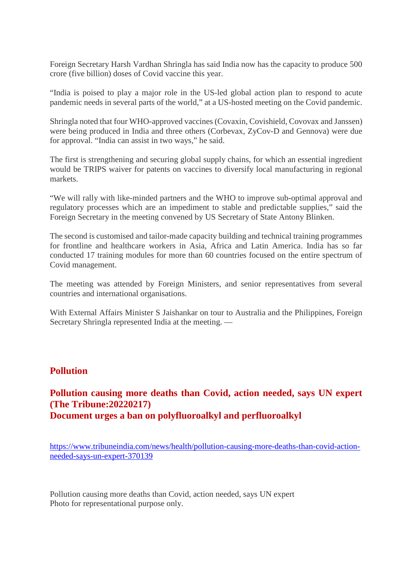Foreign Secretary Harsh Vardhan Shringla has said India now has the capacity to produce 500 crore (five billion) doses of Covid vaccine this year.

"India is poised to play a major role in the US-led global action plan to respond to acute pandemic needs in several parts of the world," at a US-hosted meeting on the Covid pandemic.

Shringla noted that four WHO-approved vaccines (Covaxin, Covishield, Covovax and Janssen) were being produced in India and three others (Corbevax, ZyCov-D and Gennova) were due for approval. "India can assist in two ways," he said.

The first is strengthening and securing global supply chains, for which an essential ingredient would be TRIPS waiver for patents on vaccines to diversify local manufacturing in regional markets.

"We will rally with like-minded partners and the WHO to improve sub-optimal approval and regulatory processes which are an impediment to stable and predictable supplies," said the Foreign Secretary in the meeting convened by US Secretary of State Antony Blinken.

The second is customised and tailor-made capacity building and technical training programmes for frontline and healthcare workers in Asia, Africa and Latin America. India has so far conducted 17 training modules for more than 60 countries focused on the entire spectrum of Covid management.

The meeting was attended by Foreign Ministers, and senior representatives from several countries and international organisations.

With External Affairs Minister S Jaishankar on tour to Australia and the Philippines, Foreign Secretary Shringla represented India at the meeting. —

#### **Pollution**

#### **Pollution causing more deaths than Covid, action needed, says UN expert (The Tribune:20220217) Document urges a ban on polyfluoroalkyl and perfluoroalkyl**

https://www.tribuneindia.com/news/health/pollution-causing-more-deaths-than-covid-actionneeded-says-un-expert-370139

Pollution causing more deaths than Covid, action needed, says UN expert Photo for representational purpose only.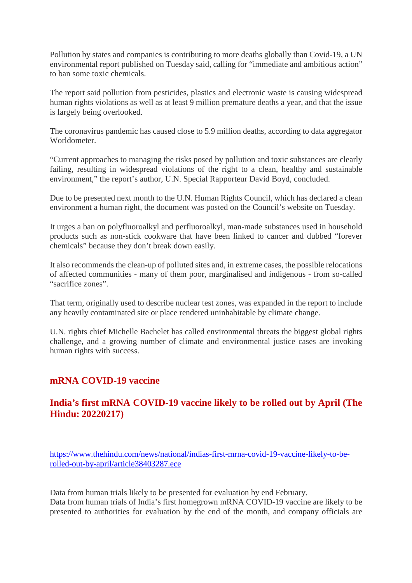Pollution by states and companies is contributing to more deaths globally than Covid-19, a UN environmental report published on Tuesday said, calling for "immediate and ambitious action" to ban some toxic chemicals.

The report said pollution from pesticides, plastics and electronic waste is causing widespread human rights violations as well as at least 9 million premature deaths a year, and that the issue is largely being overlooked.

The coronavirus pandemic has caused close to 5.9 million deaths, according to data aggregator Worldometer.

"Current approaches to managing the risks posed by pollution and toxic substances are clearly failing, resulting in widespread violations of the right to a clean, healthy and sustainable environment," the report's author, U.N. Special Rapporteur David Boyd, concluded.

Due to be presented next month to the U.N. Human Rights Council, which has declared a clean environment a human right, the document was posted on the Council's website on Tuesday.

It urges a ban on polyfluoroalkyl and perfluoroalkyl, man-made substances used in household products such as non-stick cookware that have been linked to cancer and dubbed "forever chemicals" because they don't break down easily.

It also recommends the clean-up of polluted sites and, in extreme cases, the possible relocations of affected communities - many of them poor, marginalised and indigenous - from so-called "sacrifice zones".

That term, originally used to describe nuclear test zones, was expanded in the report to include any heavily contaminated site or place rendered uninhabitable by climate change.

U.N. rights chief Michelle Bachelet has called environmental threats the biggest global rights challenge, and a growing number of climate and environmental justice cases are invoking human rights with success.

## **mRNA COVID-19 vaccine**

## **India's first mRNA COVID-19 vaccine likely to be rolled out by April (The Hindu: 20220217)**

https://www.thehindu.com/news/national/indias-first-mrna-covid-19-vaccine-likely-to-berolled-out-by-april/article38403287.ece

Data from human trials likely to be presented for evaluation by end February. Data from human trials of India's first homegrown mRNA COVID-19 vaccine are likely to be presented to authorities for evaluation by the end of the month, and company officials are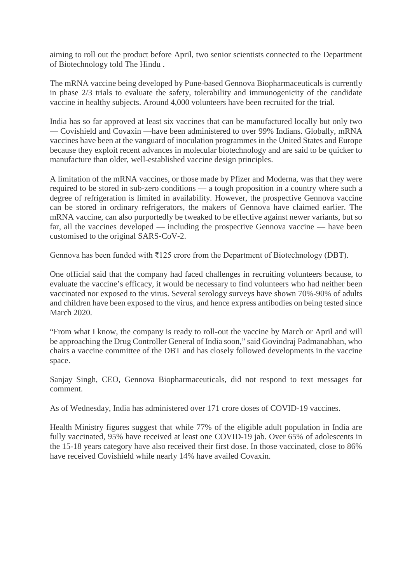aiming to roll out the product before April, two senior scientists connected to the Department of Biotechnology told The Hindu .

The mRNA vaccine being developed by Pune-based Gennova Biopharmaceuticals is currently in phase 2/3 trials to evaluate the safety, tolerability and immunogenicity of the candidate vaccine in healthy subjects. Around 4,000 volunteers have been recruited for the trial.

India has so far approved at least six vaccines that can be manufactured locally but only two — Covishield and Covaxin —have been administered to over 99% Indians. Globally, mRNA vaccines have been at the vanguard of inoculation programmes in the United States and Europe because they exploit recent advances in molecular biotechnology and are said to be quicker to manufacture than older, well-established vaccine design principles.

A limitation of the mRNA vaccines, or those made by Pfizer and Moderna, was that they were required to be stored in sub-zero conditions — a tough proposition in a country where such a degree of refrigeration is limited in availability. However, the prospective Gennova vaccine can be stored in ordinary refrigerators, the makers of Gennova have claimed earlier. The mRNA vaccine, can also purportedly be tweaked to be effective against newer variants, but so far, all the vaccines developed — including the prospective Gennova vaccine — have been customised to the original SARS-CoV-2.

Gennova has been funded with ₹125 crore from the Department of Biotechnology (DBT).

One official said that the company had faced challenges in recruiting volunteers because, to evaluate the vaccine's efficacy, it would be necessary to find volunteers who had neither been vaccinated nor exposed to the virus. Several serology surveys have shown 70%-90% of adults and children have been exposed to the virus, and hence express antibodies on being tested since March 2020.

"From what I know, the company is ready to roll-out the vaccine by March or April and will be approaching the Drug Controller General of India soon," said Govindraj Padmanabhan, who chairs a vaccine committee of the DBT and has closely followed developments in the vaccine space.

Sanjay Singh, CEO, Gennova Biopharmaceuticals, did not respond to text messages for comment.

As of Wednesday, India has administered over 171 crore doses of COVID-19 vaccines.

Health Ministry figures suggest that while 77% of the eligible adult population in India are fully vaccinated, 95% have received at least one COVID-19 jab. Over 65% of adolescents in the 15-18 years category have also received their first dose. In those vaccinated, close to 86% have received Covishield while nearly 14% have availed Covaxin.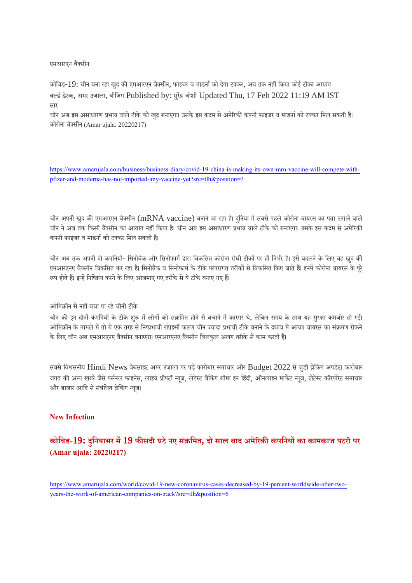एमआरएन वैसीन

कोविड-19: चीन बना रहा खुद की एमआरएन वैक्सीन, फाइजर व माडर्ना को देगा टक्कर, अब तक नहीं किया कोई टीका आयात वर्ल्ड डेस्क, अमर उजाला, बीजिंग Published by: सुरेंद्र जोशी Updated Thu, 17 Feb 2022 11:19 AM IST सार

चीन अब इस असाधारण प्रभाव वाले टीके को खुद बनाएगा। उसके इस कदम से अमेरिकी कंपनी फाइजर व माडर्ना को टक्कर मिल सकती है। कोरोना वैसीन (Amar ujala: 20220217)

https://www.amarujala.com/business/business-diary/covid-19-china-is-making-its-own-mrn-vaccine-will-compete-withpfizer-and-moderna-has-not-imported-any-vaccine-yet?src=tlh&position=3

चीन अपनी खुद की एमआरएन वैक्सीन (mRNA vaccine) बनाने जा रहा है। दुनिया में सबसे पहले कोरोना वायरस का पता लगाने वाले चीन ने अब तक किसी वैक्सीन का आयात नहीं किया है। चीन अब इस असाधारण प्रभाव वाले टीके को बनाएगा। उसके इस कदम से अमेरिकी कंपनी फाइजर व माडर्ना को टक्कर मिल सकती है।

चीन अब तक अपनी दो कंपनियों- सिनोवैक और सिनोफार्म द्वारा विकसित कोरोना रोधी टीकों पर ही निर्भर है। इसे बदलने के लिए वह खुद की एमआरएनए वैक्सीन विकसित कर रहा है। सिनोवैक व सिनोफार्म के टीके परंपरागत तरीकों से विकसित किए जाते हैं। इनमें कोरोना वायरस के पूरे रूप होते हैं। इन्हें निष्क्रिय करने के लिए आजमाए गए तरीके से ये टीके बनाए गए हैं।

ओमिक्रॉन से नहीं बचा पा रहे चीनी टीके

चीन की इन दोनों कंपनियों के टीके शुरू में लोगों को संक्रमित होने से बचाने में कारगर थे, लेकिन समय के साथ यह सुरक्षा कमजोर हो गई। ओमिक्रॉन के मामले में तो ये एक तरह से निष्प्रभावी रहे।इसी कारण चीन ज्यादा प्रभावी टीके बनाने के दबाव में आया। वायरस का संक्रमण रोकने के लिए चीन अब एमआरएनए वैक्सीन बनाएगा। एमआरएनए वैक्सीन बिलकुल अलग तरीके से काम करती है।

सबसे विश्वसनीय Hindi News वेबसाइट अमर उजाला पर पढ़ें कारोबार समाचार और Budget 2022 से जुड़ी ब्रेकिंग अपडेट। कारोबार जगत की अन्य खबरें जैसे पर्सनल फाइनेंस, लाइव प्रॉपर्टी न्यूज, लेटेस्ट बैंकिंग बीमा इन हिंदी, ऑनलाइन मार्केट न्यूज़, लेटेस्ट कॉरपोरेट समाचार और बाज़ार आदि से संबंधित ब्रेकिंग न्यूज़।

#### **New Infection**

# **कोिवड-19: दुिनयाभर म19 फसदी घटेनए सं िमत, दो साल बाद अमेरककंपिनयका कामकाज पटरी पर (Amar ujala: 20220217)**

https://www.amarujala.com/world/covid-19-new-coronavirus-cases-decreased-by-19-percent-worldwide-after-twoyears-the-work-of-american-companies-on-track?src=tlh&position=6